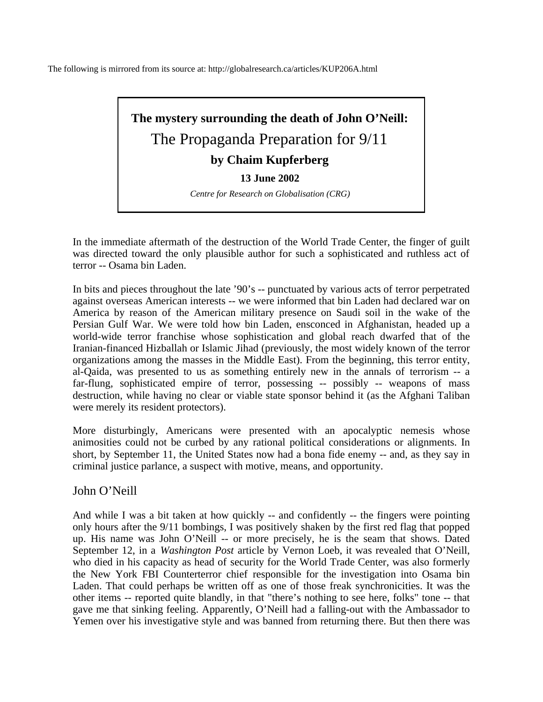The following is mirrored from its source at: http://globalresearch.ca/articles/KUP206A.html



In the immediate aftermath of the destruction of the World Trade Center, the finger of guilt was directed toward the only plausible author for such a sophisticated and ruthless act of terror -- Osama bin Laden.

In bits and pieces throughout the late '90's -- punctuated by various acts of terror perpetrated against overseas American interests -- we were informed that bin Laden had declared war on America by reason of the American military presence on Saudi soil in the wake of the Persian Gulf War. We were told how bin Laden, ensconced in Afghanistan, headed up a world-wide terror franchise whose sophistication and global reach dwarfed that of the Iranian-financed Hizballah or Islamic Jihad (previously, the most widely known of the terror organizations among the masses in the Middle East). From the beginning, this terror entity, al-Qaida, was presented to us as something entirely new in the annals of terrorism -- a far-flung, sophisticated empire of terror, possessing -- possibly -- weapons of mass destruction, while having no clear or viable state sponsor behind it (as the Afghani Taliban were merely its resident protectors).

More disturbingly, Americans were presented with an apocalyptic nemesis whose animosities could not be curbed by any rational political considerations or alignments. In short, by September 11, the United States now had a bona fide enemy -- and, as they say in criminal justice parlance, a suspect with motive, means, and opportunity.

John O'Neill

And while I was a bit taken at how quickly -- and confidently -- the fingers were pointing only hours after the 9/11 bombings, I was positively shaken by the first red flag that popped up. His name was John O'Neill -- or more precisely, he is the seam that shows. Dated September 12, in a *Washington Post* article by Vernon Loeb, it was revealed that O'Neill, who died in his capacity as head of security for the World Trade Center, was also formerly the New York FBI Counterterror chief responsible for the investigation into Osama bin Laden. That could perhaps be written off as one of those freak synchronicities. It was the other items -- reported quite blandly, in that "there's nothing to see here, folks" tone -- that gave me that sinking feeling. Apparently, O'Neill had a falling-out with the Ambassador to Yemen over his investigative style and was banned from returning there. But then there was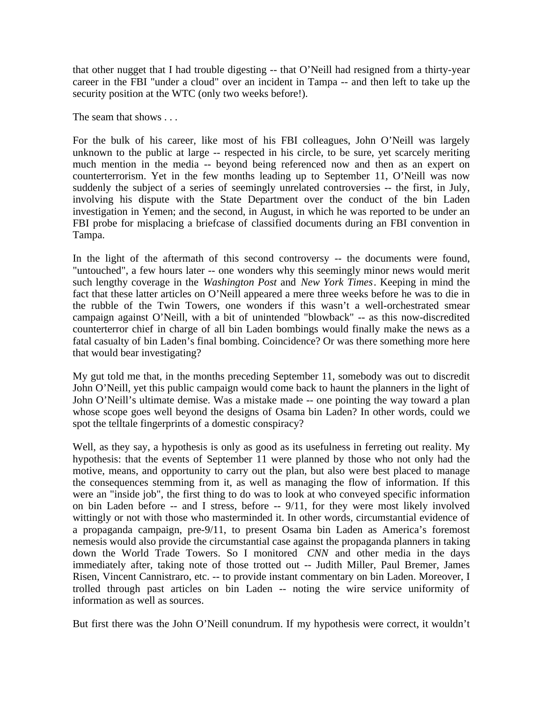that other nugget that I had trouble digesting -- that O'Neill had resigned from a thirty-year career in the FBI "under a cloud" over an incident in Tampa -- and then left to take up the security position at the WTC (only two weeks before!).

The seam that shows . . .

For the bulk of his career, like most of his FBI colleagues, John O'Neill was largely unknown to the public at large -- respected in his circle, to be sure, yet scarcely meriting much mention in the media -- beyond being referenced now and then as an expert on counterterrorism. Yet in the few months leading up to September 11, O'Neill was now suddenly the subject of a series of seemingly unrelated controversies -- the first, in July, involving his dispute with the State Department over the conduct of the bin Laden investigation in Yemen; and the second, in August, in which he was reported to be under an FBI probe for misplacing a briefcase of classified documents during an FBI convention in Tampa.

In the light of the aftermath of this second controversy -- the documents were found, "untouched", a few hours later -- one wonders why this seemingly minor news would merit such lengthy coverage in the *Washington Post* and *New York Times*. Keeping in mind the fact that these latter articles on O'Neill appeared a mere three weeks before he was to die in the rubble of the Twin Towers, one wonders if this wasn't a well-orchestrated smear campaign against O'Neill, with a bit of unintended "blowback" -- as this now-discredited counterterror chief in charge of all bin Laden bombings would finally make the news as a fatal casualty of bin Laden's final bombing. Coincidence? Or was there something more here that would bear investigating?

My gut told me that, in the months preceding September 11, somebody was out to discredit John O'Neill, yet this public campaign would come back to haunt the planners in the light of John O'Neill's ultimate demise. Was a mistake made -- one pointing the way toward a plan whose scope goes well beyond the designs of Osama bin Laden? In other words, could we spot the telltale fingerprints of a domestic conspiracy?

Well, as they say, a hypothesis is only as good as its usefulness in ferreting out reality. My hypothesis: that the events of September 11 were planned by those who not only had the motive, means, and opportunity to carry out the plan, but also were best placed to manage the consequences stemming from it, as well as managing the flow of information. If this were an "inside job", the first thing to do was to look at who conveyed specific information on bin Laden before -- and I stress, before -- 9/11, for they were most likely involved wittingly or not with those who masterminded it. In other words, circumstantial evidence of a propaganda campaign, pre-9/11, to present Osama bin Laden as America's foremost nemesis would also provide the circumstantial case against the propaganda planners in taking down the World Trade Towers. So I monitored *CNN* and other media in the days immediately after, taking note of those trotted out -- Judith Miller, Paul Bremer, James Risen, Vincent Cannistraro, etc. -- to provide instant commentary on bin Laden. Moreover, I trolled through past articles on bin Laden -- noting the wire service uniformity of information as well as sources.

But first there was the John O'Neill conundrum. If my hypothesis were correct, it wouldn't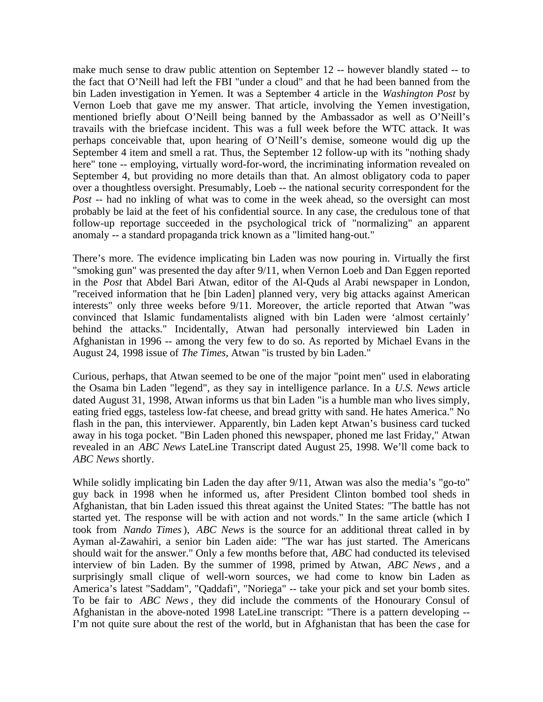make much sense to draw public attention on September 12 -- however blandly stated -- to the fact that O'Neill had left the FBI "under a cloud" and that he had been banned from the bin Laden investigation in Yemen. It was a September 4 article in the *Washington Post* by Vernon Loeb that gave me my answer. That article, involving the Yemen investigation, mentioned briefly about O'Neill being banned by the Ambassador as well as O'Neill's travails with the briefcase incident. This was a full week before the WTC attack. It was perhaps conceivable that, upon hearing of O'Neill's demise, someone would dig up the September 4 item and smell a rat. Thus, the September 12 follow-up with its "nothing shady here" tone -- employing, virtually word-for-word, the incriminating information revealed on September 4, but providing no more details than that. An almost obligatory coda to paper over a thoughtless oversight. Presumably, Loeb -- the national security correspondent for the *Post* -- had no inkling of what was to come in the week ahead, so the oversight can most probably be laid at the feet of his confidential source. In any case, the credulous tone of that follow-up reportage succeeded in the psychological trick of "normalizing" an apparent anomaly -- a standard propaganda trick known as a "limited hang-out."

There's more. The evidence implicating bin Laden was now pouring in. Virtually the first "smoking gun" was presented the day after 9/11, when Vernon Loeb and Dan Eggen reported in the *Post* that Abdel Bari Atwan, editor of the Al-Quds al Arabi newspaper in London, "received information that he [bin Laden] planned very, very big attacks against American interests" only three weeks before 9/11. Moreover, the article reported that Atwan "was convinced that Islamic fundamentalists aligned with bin Laden were 'almost certainly' behind the attacks." Incidentally, Atwan had personally interviewed bin Laden in Afghanistan in 1996 -- among the very few to do so. As reported by Michael Evans in the August 24, 1998 issue of *The Times*, Atwan "is trusted by bin Laden."

Curious, perhaps, that Atwan seemed to be one of the major "point men" used in elaborating the Osama bin Laden "legend", as they say in intelligence parlance. In a *U.S. News* article dated August 31, 1998, Atwan informs us that bin Laden "is a humble man who lives simply, eating fried eggs, tasteless low-fat cheese, and bread gritty with sand. He hates America." No flash in the pan, this interviewer. Apparently, bin Laden kept Atwan's business card tucked away in his toga pocket. "Bin Laden phoned this newspaper, phoned me last Friday," Atwan revealed in an *ABC News* LateLine Transcript dated August 25, 1998. We'll come back to *ABC News* shortly.

While solidly implicating bin Laden the day after 9/11, Atwan was also the media's "go-to" guy back in 1998 when he informed us, after President Clinton bombed tool sheds in Afghanistan, that bin Laden issued this threat against the United States: "The battle has not started yet. The response will be with action and not words." In the same article (which I took from *Nando Times*), *ABC News* is the source for an additional threat called in by Ayman al-Zawahiri, a senior bin Laden aide: "The war has just started. The Americans should wait for the answer." Only a few months before that, *ABC* had conducted its televised interview of bin Laden. By the summer of 1998, primed by Atwan, *ABC News*, and a surprisingly small clique of well-worn sources, we had come to know bin Laden as America's latest "Saddam", "Qaddafi", "Noriega" -- take your pick and set your bomb sites. To be fair to *ABC News* , they did include the comments of the Honourary Consul of Afghanistan in the above-noted 1998 LateLine transcript: "There is a pattern developing -- I'm not quite sure about the rest of the world, but in Afghanistan that has been the case for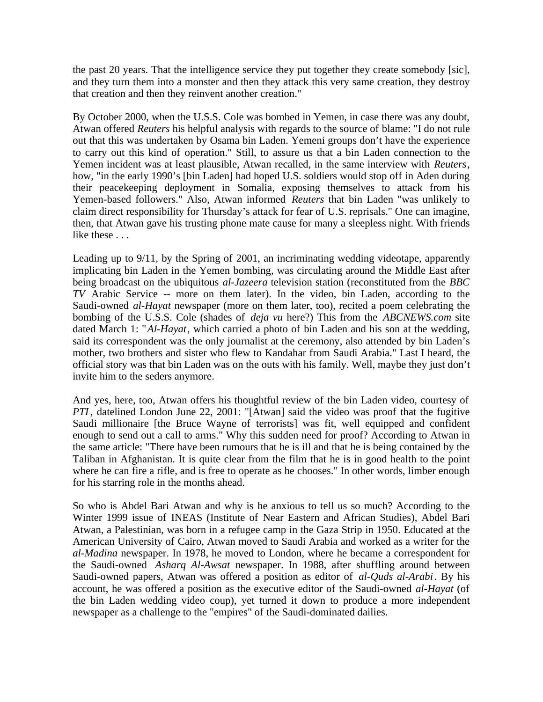the past 20 years. That the intelligence service they put together they create somebody [sic], and they turn them into a monster and then they attack this very same creation, they destroy that creation and then they reinvent another creation."

By October 2000, when the U.S.S. Cole was bombed in Yemen, in case there was any doubt, Atwan offered *Reuters* his helpful analysis with regards to the source of blame: "I do not rule out that this was undertaken by Osama bin Laden. Yemeni groups don't have the experience to carry out this kind of operation." Still, to assure us that a bin Laden connection to the Yemen incident was at least plausible, Atwan recalled, in the same interview with *Reuters*, how, "in the early 1990's [bin Laden] had hoped U.S. soldiers would stop off in Aden during their peacekeeping deployment in Somalia, exposing themselves to attack from his Yemen-based followers." Also, Atwan informed *Reuters* that bin Laden "was unlikely to claim direct responsibility for Thursday's attack for fear of U.S. reprisals." One can imagine, then, that Atwan gave his trusting phone mate cause for many a sleepless night. With friends like these . . .

Leading up to 9/11, by the Spring of 2001, an incriminating wedding videotape, apparently implicating bin Laden in the Yemen bombing, was circulating around the Middle East after being broadcast on the ubiquitous *al-Jazeera* television station (reconstituted from the *BBC TV* Arabic Service -- more on them later). In the video, bin Laden, according to the Saudi-owned *al-Hayat* newspaper (more on them later, too), recited a poem celebrating the bombing of the U.S.S. Cole (shades of *deja vu* here?) This from the *ABCNEWS.com* site dated March 1: "*Al-Hayat*, which carried a photo of bin Laden and his son at the wedding, said its correspondent was the only journalist at the ceremony, also attended by bin Laden's mother, two brothers and sister who flew to Kandahar from Saudi Arabia." Last I heard, the official story was that bin Laden was on the outs with his family. Well, maybe they just don't invite him to the seders anymore.

And yes, here, too, Atwan offers his thoughtful review of the bin Laden video, courtesy of *PTI*, datelined London June 22, 2001: "[Atwan] said the video was proof that the fugitive Saudi millionaire [the Bruce Wayne of terrorists] was fit, well equipped and confident enough to send out a call to arms." Why this sudden need for proof? According to Atwan in the same article: "There have been rumours that he is ill and that he is being contained by the Taliban in Afghanistan. It is quite clear from the film that he is in good health to the point where he can fire a rifle, and is free to operate as he chooses." In other words, limber enough for his starring role in the months ahead.

So who is Abdel Bari Atwan and why is he anxious to tell us so much? According to the Winter 1999 issue of INEAS (Institute of Near Eastern and African Studies), Abdel Bari Atwan, a Palestinian, was born in a refugee camp in the Gaza Strip in 1950. Educated at the American University of Cairo, Atwan moved to Saudi Arabia and worked as a writer for the *al-Madina* newspaper. In 1978, he moved to London, where he became a correspondent for the Saudi-owned *Asharq Al-Awsat* newspaper. In 1988, after shuffling around between Saudi-owned papers, Atwan was offered a position as editor of *al-Quds al-Arabi*. By his account, he was offered a position as the executive editor of the Saudi-owned *al-Hayat* (of the bin Laden wedding video coup), yet turned it down to produce a more independent newspaper as a challenge to the "empires" of the Saudi-dominated dailies.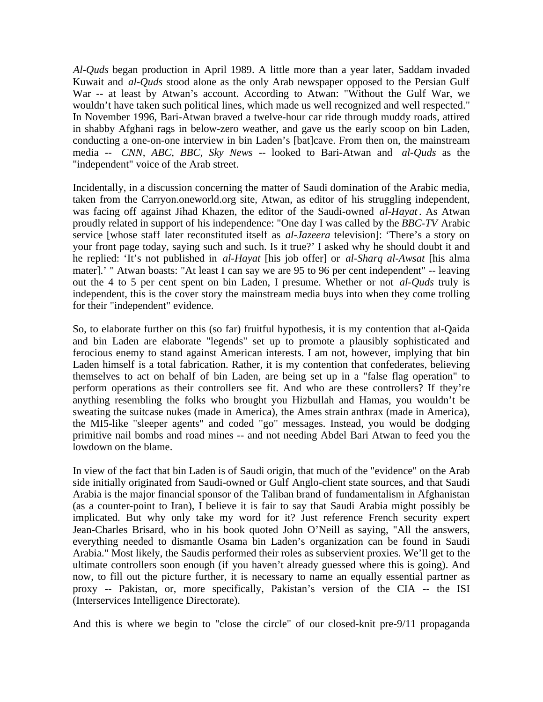*Al-Quds* began production in April 1989. A little more than a year later, Saddam invaded Kuwait and *al-Quds* stood alone as the only Arab newspaper opposed to the Persian Gulf War -- at least by Atwan's account. According to Atwan: "Without the Gulf War, we wouldn't have taken such political lines, which made us well recognized and well respected." In November 1996, Bari-Atwan braved a twelve-hour car ride through muddy roads, attired in shabby Afghani rags in below-zero weather, and gave us the early scoop on bin Laden, conducting a one-on-one interview in bin Laden's [bat]cave. From then on, the mainstream media -- *CNN, ABC, BBC, Sky News* -- looked to Bari-Atwan and *al-Quds* as the "independent" voice of the Arab street.

Incidentally, in a discussion concerning the matter of Saudi domination of the Arabic media, taken from the Carryon.oneworld.org site, Atwan, as editor of his struggling independent, was facing off against Jihad Khazen, the editor of the Saudi-owned *al-Hayat* . As Atwan proudly related in support of his independence: "One day I was called by the *BBC-TV* Arabic service [whose staff later reconstituted itself as *al-Jazeera* television]: 'There's a story on your front page today, saying such and such. Is it true?' I asked why he should doubt it and he replied: 'It's not published in *al-Hayat* [his job offer] or *al-Sharq al-Awsat* [his alma mater].' " Atwan boasts: "At least I can say we are 95 to 96 per cent independent" -- leaving out the 4 to 5 per cent spent on bin Laden, I presume. Whether or not *al-Quds* truly is independent, this is the cover story the mainstream media buys into when they come trolling for their "independent" evidence.

So, to elaborate further on this (so far) fruitful hypothesis, it is my contention that al-Qaida and bin Laden are elaborate "legends" set up to promote a plausibly sophisticated and ferocious enemy to stand against American interests. I am not, however, implying that bin Laden himself is a total fabrication. Rather, it is my contention that confederates, believing themselves to act on behalf of bin Laden, are being set up in a "false flag operation" to perform operations as their controllers see fit. And who are these controllers? If they're anything resembling the folks who brought you Hizbullah and Hamas, you wouldn't be sweating the suitcase nukes (made in America), the Ames strain anthrax (made in America), the MI5-like "sleeper agents" and coded "go" messages. Instead, you would be dodging primitive nail bombs and road mines -- and not needing Abdel Bari Atwan to feed you the lowdown on the blame.

In view of the fact that bin Laden is of Saudi origin, that much of the "evidence" on the Arab side initially originated from Saudi-owned or Gulf Anglo-client state sources, and that Saudi Arabia is the major financial sponsor of the Taliban brand of fundamentalism in Afghanistan (as a counter-point to Iran), I believe it is fair to say that Saudi Arabia might possibly be implicated. But why only take my word for it? Just reference French security expert Jean-Charles Brisard, who in his book quoted John O'Neill as saying, "All the answers, everything needed to dismantle Osama bin Laden's organization can be found in Saudi Arabia." Most likely, the Saudis performed their roles as subservient proxies. We'll get to the ultimate controllers soon enough (if you haven't already guessed where this is going). And now, to fill out the picture further, it is necessary to name an equally essential partner as proxy -- Pakistan, or, more specifically, Pakistan's version of the CIA -- the ISI (Interservices Intelligence Directorate).

And this is where we begin to "close the circle" of our closed-knit pre-9/11 propaganda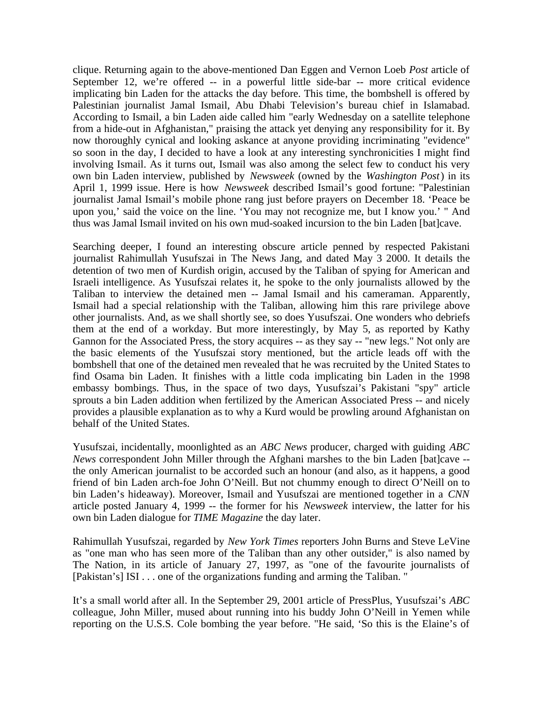clique. Returning again to the above-mentioned Dan Eggen and Vernon Loeb *Post* article of September 12, we're offered -- in a powerful little side-bar -- more critical evidence implicating bin Laden for the attacks the day before. This time, the bombshell is offered by Palestinian journalist Jamal Ismail, Abu Dhabi Television's bureau chief in Islamabad. According to Ismail, a bin Laden aide called him "early Wednesday on a satellite telephone from a hide-out in Afghanistan," praising the attack yet denying any responsibility for it. By now thoroughly cynical and looking askance at anyone providing incriminating "evidence" so soon in the day, I decided to have a look at any interesting synchronicities I might find involving Ismail. As it turns out, Ismail was also among the select few to conduct his very own bin Laden interview, published by *Newsweek* (owned by the *Washington Post*) in its April 1, 1999 issue. Here is how *Newsweek* described Ismail's good fortune: "Palestinian journalist Jamal Ismail's mobile phone rang just before prayers on December 18. 'Peace be upon you,' said the voice on the line. 'You may not recognize me, but I know you.' " And thus was Jamal Ismail invited on his own mud-soaked incursion to the bin Laden [bat]cave.

Searching deeper, I found an interesting obscure article penned by respected Pakistani journalist Rahimullah Yusufszai in The News Jang, and dated May 3 2000. It details the detention of two men of Kurdish origin, accused by the Taliban of spying for American and Israeli intelligence. As Yusufszai relates it, he spoke to the only journalists allowed by the Taliban to interview the detained men -- Jamal Ismail and his cameraman. Apparently, Ismail had a special relationship with the Taliban, allowing him this rare privilege above other journalists. And, as we shall shortly see, so does Yusufszai. One wonders who debriefs them at the end of a workday. But more interestingly, by May 5, as reported by Kathy Gannon for the Associated Press, the story acquires -- as they say -- "new legs." Not only are the basic elements of the Yusufszai story mentioned, but the article leads off with the bombshell that one of the detained men revealed that he was recruited by the United States to find Osama bin Laden. It finishes with a little coda implicating bin Laden in the 1998 embassy bombings. Thus, in the space of two days, Yusufszai's Pakistani "spy" article sprouts a bin Laden addition when fertilized by the American Associated Press -- and nicely provides a plausible explanation as to why a Kurd would be prowling around Afghanistan on behalf of the United States.

Yusufszai, incidentally, moonlighted as an *ABC News* producer, charged with guiding *ABC News* correspondent John Miller through the Afghani marshes to the bin Laden [bat]cave - the only American journalist to be accorded such an honour (and also, as it happens, a good friend of bin Laden arch-foe John O'Neill. But not chummy enough to direct O'Neill on to bin Laden's hideaway). Moreover, Ismail and Yusufszai are mentioned together in a *CNN* article posted January 4, 1999 -- the former for his *Newsweek* interview, the latter for his own bin Laden dialogue for *TIME Magazine* the day later.

Rahimullah Yusufszai, regarded by *New York Times* reporters John Burns and Steve LeVine as "one man who has seen more of the Taliban than any other outsider," is also named by The Nation, in its article of January 27, 1997, as "one of the favourite journalists of [Pakistan's] ISI . . . one of the organizations funding and arming the Taliban. "

It's a small world after all. In the September 29, 2001 article of PressPlus, Yusufszai's *ABC* colleague, John Miller, mused about running into his buddy John O'Neill in Yemen while reporting on the U.S.S. Cole bombing the year before. "He said, 'So this is the Elaine's of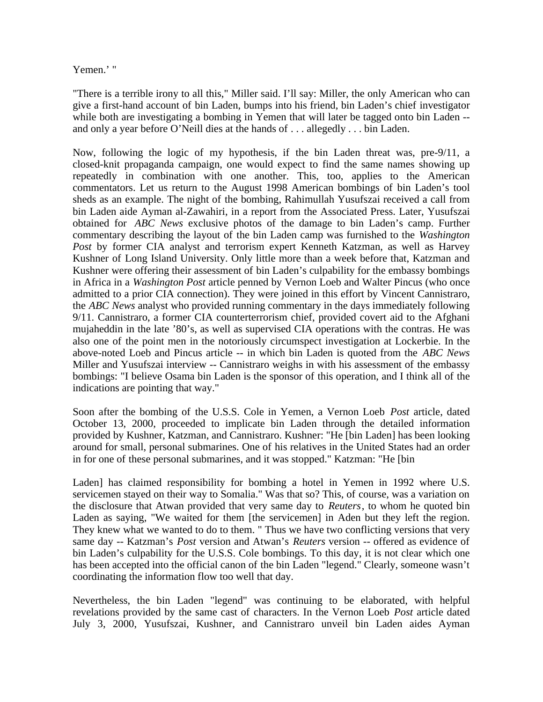## Yemen.' "

"There is a terrible irony to all this," Miller said. I'll say: Miller, the only American who can give a first-hand account of bin Laden, bumps into his friend, bin Laden's chief investigator while both are investigating a bombing in Yemen that will later be tagged onto bin Laden -and only a year before O'Neill dies at the hands of . . . allegedly . . . bin Laden.

Now, following the logic of my hypothesis, if the bin Laden threat was, pre-9/11, a closed-knit propaganda campaign, one would expect to find the same names showing up repeatedly in combination with one another. This, too, applies to the American commentators. Let us return to the August 1998 American bombings of bin Laden's tool sheds as an example. The night of the bombing, Rahimullah Yusufszai received a call from bin Laden aide Ayman al-Zawahiri, in a report from the Associated Press. Later, Yusufszai obtained for *ABC News* exclusive photos of the damage to bin Laden's camp. Further commentary describing the layout of the bin Laden camp was furnished to the *Washington Post* by former CIA analyst and terrorism expert Kenneth Katzman, as well as Harvey Kushner of Long Island University. Only little more than a week before that, Katzman and Kushner were offering their assessment of bin Laden's culpability for the embassy bombings in Africa in a *Washington Post* article penned by Vernon Loeb and Walter Pincus (who once admitted to a prior CIA connection). They were joined in this effort by Vincent Cannistraro, the *ABC News* analyst who provided running commentary in the days immediately following 9/11. Cannistraro, a former CIA counterterrorism chief, provided covert aid to the Afghani mujaheddin in the late '80's, as well as supervised CIA operations with the contras. He was also one of the point men in the notoriously circumspect investigation at Lockerbie. In the above-noted Loeb and Pincus article -- in which bin Laden is quoted from the *ABC News* Miller and Yusufszai interview -- Cannistraro weighs in with his assessment of the embassy bombings: "I believe Osama bin Laden is the sponsor of this operation, and I think all of the indications are pointing that way."

Soon after the bombing of the U.S.S. Cole in Yemen, a Vernon Loeb *Post* article, dated October 13, 2000, proceeded to implicate bin Laden through the detailed information provided by Kushner, Katzman, and Cannistraro. Kushner: "He [bin Laden] has been looking around for small, personal submarines. One of his relatives in the United States had an order in for one of these personal submarines, and it was stopped." Katzman: "He [bin

Laden] has claimed responsibility for bombing a hotel in Yemen in 1992 where U.S. servicemen stayed on their way to Somalia." Was that so? This, of course, was a variation on the disclosure that Atwan provided that very same day to *Reuters*, to whom he quoted bin Laden as saying, "We waited for them [the servicemen] in Aden but they left the region. They knew what we wanted to do to them. " Thus we have two conflicting versions that very same day -- Katzman's *Post* version and Atwan's *Reuters* version -- offered as evidence of bin Laden's culpability for the U.S.S. Cole bombings. To this day, it is not clear which one has been accepted into the official canon of the bin Laden "legend." Clearly, someone wasn't coordinating the information flow too well that day.

Nevertheless, the bin Laden "legend" was continuing to be elaborated, with helpful revelations provided by the same cast of characters. In the Vernon Loeb *Post* article dated July 3, 2000, Yusufszai, Kushner, and Cannistraro unveil bin Laden aides Ayman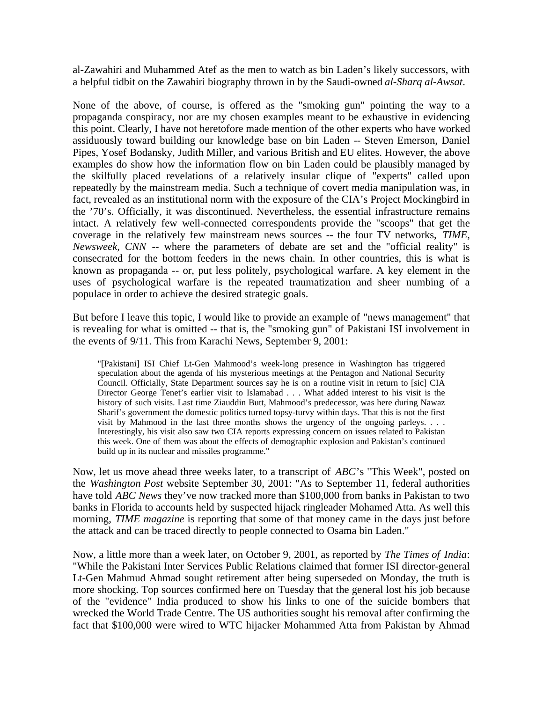al-Zawahiri and Muhammed Atef as the men to watch as bin Laden's likely successors, with a helpful tidbit on the Zawahiri biography thrown in by the Saudi-owned *al-Sharq al-Awsat*.

None of the above, of course, is offered as the "smoking gun" pointing the way to a propaganda conspiracy, nor are my chosen examples meant to be exhaustive in evidencing this point. Clearly, I have not heretofore made mention of the other experts who have worked assiduously toward building our knowledge base on bin Laden -- Steven Emerson, Daniel Pipes, Yosef Bodansky, Judith Miller, and various British and EU elites. However, the above examples do show how the information flow on bin Laden could be plausibly managed by the skilfully placed revelations of a relatively insular clique of "experts" called upon repeatedly by the mainstream media. Such a technique of covert media manipulation was, in fact, revealed as an institutional norm with the exposure of the CIA's Project Mockingbird in the '70's. Officially, it was discontinued. Nevertheless, the essential infrastructure remains intact. A relatively few well-connected correspondents provide the "scoops" that get the coverage in the relatively few mainstream news sources -- the four TV networks, *TIME, Newsweek, CNN* -- where the parameters of debate are set and the "official reality" is consecrated for the bottom feeders in the news chain. In other countries, this is what is known as propaganda -- or, put less politely, psychological warfare. A key element in the uses of psychological warfare is the repeated traumatization and sheer numbing of a populace in order to achieve the desired strategic goals.

But before I leave this topic, I would like to provide an example of "news management" that is revealing for what is omitted -- that is, the "smoking gun" of Pakistani ISI involvement in the events of 9/11. This from Karachi News, September 9, 2001:

"[Pakistani] ISI Chief Lt-Gen Mahmood's week-long presence in Washington has triggered speculation about the agenda of his mysterious meetings at the Pentagon and National Security Council. Officially, State Department sources say he is on a routine visit in return to [sic] CIA Director George Tenet's earlier visit to Islamabad . . . What added interest to his visit is the history of such visits. Last time Ziauddin Butt, Mahmood's predecessor, was here during Nawaz Sharif's government the domestic politics turned topsy-turvy within days. That this is not the first visit by Mahmood in the last three months shows the urgency of the ongoing parleys.  $\ldots$ . Interestingly, his visit also saw two CIA reports expressing concern on issues related to Pakistan this week. One of them was about the effects of demographic explosion and Pakistan's continued build up in its nuclear and missiles programme."

Now, let us move ahead three weeks later, to a transcript of *ABC*'s "This Week", posted on the *Washington Post* website September 30, 2001: "As to September 11, federal authorities have told *ABC News* they've now tracked more than \$100,000 from banks in Pakistan to two banks in Florida to accounts held by suspected hijack ringleader Mohamed Atta. As well this morning, *TIME magazine* is reporting that some of that money came in the days just before the attack and can be traced directly to people connected to Osama bin Laden."

Now, a little more than a week later, on October 9, 2001, as reported by *The Times of India*: "While the Pakistani Inter Services Public Relations claimed that former ISI director-general Lt-Gen Mahmud Ahmad sought retirement after being superseded on Monday, the truth is more shocking. Top sources confirmed here on Tuesday that the general lost his job because of the "evidence" India produced to show his links to one of the suicide bombers that wrecked the World Trade Centre. The US authorities sought his removal after confirming the fact that \$100,000 were wired to WTC hijacker Mohammed Atta from Pakistan by Ahmad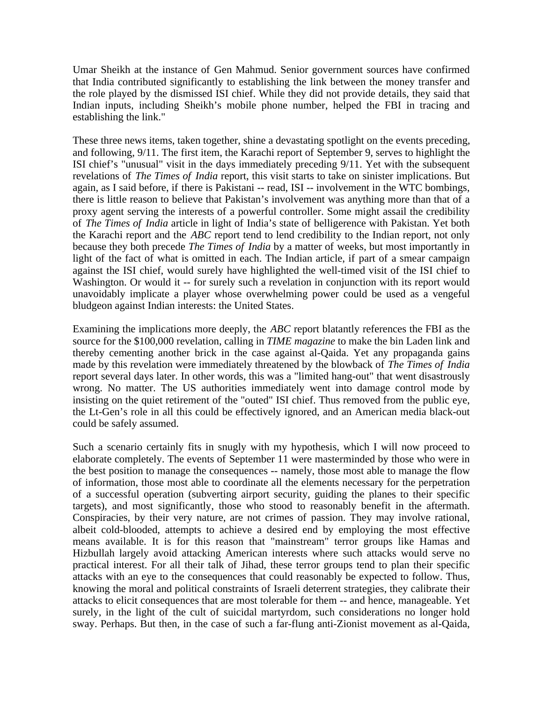Umar Sheikh at the instance of Gen Mahmud. Senior government sources have confirmed that India contributed significantly to establishing the link between the money transfer and the role played by the dismissed ISI chief. While they did not provide details, they said that Indian inputs, including Sheikh's mobile phone number, helped the FBI in tracing and establishing the link."

These three news items, taken together, shine a devastating spotlight on the events preceding, and following, 9/11. The first item, the Karachi report of September 9, serves to highlight the ISI chief's "unusual" visit in the days immediately preceding 9/11. Yet with the subsequent revelations of *The Times of India* report, this visit starts to take on sinister implications. But again, as I said before, if there is Pakistani -- read, ISI -- involvement in the WTC bombings, there is little reason to believe that Pakistan's involvement was anything more than that of a proxy agent serving the interests of a powerful controller. Some might assail the credibility of *The Times of India* article in light of India's state of belligerence with Pakistan. Yet both the Karachi report and the *ABC* report tend to lend credibility to the Indian report, not only because they both precede *The Times of India* by a matter of weeks, but most importantly in light of the fact of what is omitted in each. The Indian article, if part of a smear campaign against the ISI chief, would surely have highlighted the well-timed visit of the ISI chief to Washington. Or would it -- for surely such a revelation in conjunction with its report would unavoidably implicate a player whose overwhelming power could be used as a vengeful bludgeon against Indian interests: the United States.

Examining the implications more deeply, the *ABC* report blatantly references the FBI as the source for the \$100,000 revelation, calling in *TIME magazine* to make the bin Laden link and thereby cementing another brick in the case against al-Qaida. Yet any propaganda gains made by this revelation were immediately threatened by the blowback of *The Times of India* report several days later. In other words, this was a "limited hang-out" that went disastrously wrong. No matter. The US authorities immediately went into damage control mode by insisting on the quiet retirement of the "outed" ISI chief. Thus removed from the public eye, the Lt-Gen's role in all this could be effectively ignored, and an American media black-out could be safely assumed.

Such a scenario certainly fits in snugly with my hypothesis, which I will now proceed to elaborate completely. The events of September 11 were masterminded by those who were in the best position to manage the consequences -- namely, those most able to manage the flow of information, those most able to coordinate all the elements necessary for the perpetration of a successful operation (subverting airport security, guiding the planes to their specific targets), and most significantly, those who stood to reasonably benefit in the aftermath. Conspiracies, by their very nature, are not crimes of passion. They may involve rational, albeit cold-blooded, attempts to achieve a desired end by employing the most effective means available. It is for this reason that "mainstream" terror groups like Hamas and Hizbullah largely avoid attacking American interests where such attacks would serve no practical interest. For all their talk of Jihad, these terror groups tend to plan their specific attacks with an eye to the consequences that could reasonably be expected to follow. Thus, knowing the moral and political constraints of Israeli deterrent strategies, they calibrate their attacks to elicit consequences that are most tolerable for them -- and hence, manageable. Yet surely, in the light of the cult of suicidal martyrdom, such considerations no longer hold sway. Perhaps. But then, in the case of such a far-flung anti-Zionist movement as al-Qaida,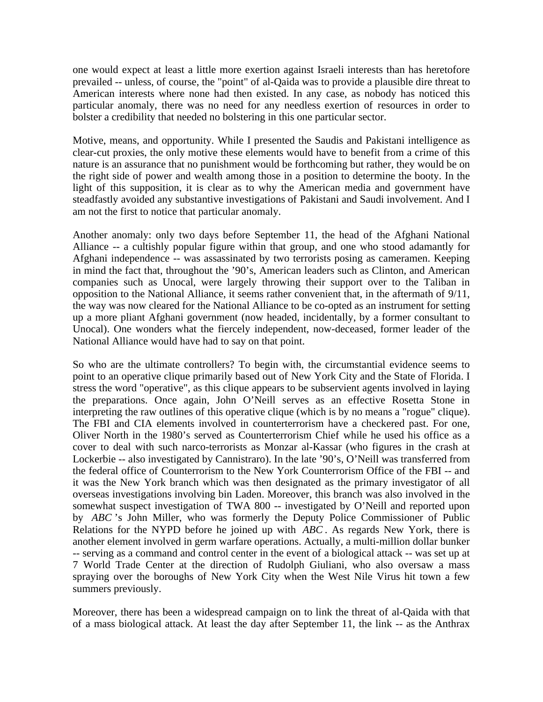one would expect at least a little more exertion against Israeli interests than has heretofore prevailed -- unless, of course, the "point" of al-Qaida was to provide a plausible dire threat to American interests where none had then existed. In any case, as nobody has noticed this particular anomaly, there was no need for any needless exertion of resources in order to bolster a credibility that needed no bolstering in this one particular sector.

Motive, means, and opportunity. While I presented the Saudis and Pakistani intelligence as clear-cut proxies, the only motive these elements would have to benefit from a crime of this nature is an assurance that no punishment would be forthcoming but rather, they would be on the right side of power and wealth among those in a position to determine the booty. In the light of this supposition, it is clear as to why the American media and government have steadfastly avoided any substantive investigations of Pakistani and Saudi involvement. And I am not the first to notice that particular anomaly.

Another anomaly: only two days before September 11, the head of the Afghani National Alliance -- a cultishly popular figure within that group, and one who stood adamantly for Afghani independence -- was assassinated by two terrorists posing as cameramen. Keeping in mind the fact that, throughout the '90's, American leaders such as Clinton, and American companies such as Unocal, were largely throwing their support over to the Taliban in opposition to the National Alliance, it seems rather convenient that, in the aftermath of 9/11, the way was now cleared for the National Alliance to be co-opted as an instrument for setting up a more pliant Afghani government (now headed, incidentally, by a former consultant to Unocal). One wonders what the fiercely independent, now-deceased, former leader of the National Alliance would have had to say on that point.

So who are the ultimate controllers? To begin with, the circumstantial evidence seems to point to an operative clique primarily based out of New York City and the State of Florida. I stress the word "operative", as this clique appears to be subservient agents involved in laying the preparations. Once again, John O'Neill serves as an effective Rosetta Stone in interpreting the raw outlines of this operative clique (which is by no means a "rogue" clique). The FBI and CIA elements involved in counterterrorism have a checkered past. For one, Oliver North in the 1980's served as Counterterrorism Chief while he used his office as a cover to deal with such narco-terrorists as Monzar al-Kassar (who figures in the crash at Lockerbie -- also investigated by Cannistraro). In the late '90's, O'Neill was transferred from the federal office of Counterrorism to the New York Counterrorism Office of the FBI -- and it was the New York branch which was then designated as the primary investigator of all overseas investigations involving bin Laden. Moreover, this branch was also involved in the somewhat suspect investigation of TWA 800 -- investigated by O'Neill and reported upon by *ABC* 's John Miller, who was formerly the Deputy Police Commissioner of Public Relations for the NYPD before he joined up with *ABC* . As regards New York, there is another element involved in germ warfare operations. Actually, a multi-million dollar bunker -- serving as a command and control center in the event of a biological attack -- was set up at 7 World Trade Center at the direction of Rudolph Giuliani, who also oversaw a mass spraying over the boroughs of New York City when the West Nile Virus hit town a few summers previously.

Moreover, there has been a widespread campaign on to link the threat of al-Qaida with that of a mass biological attack. At least the day after September 11, the link -- as the Anthrax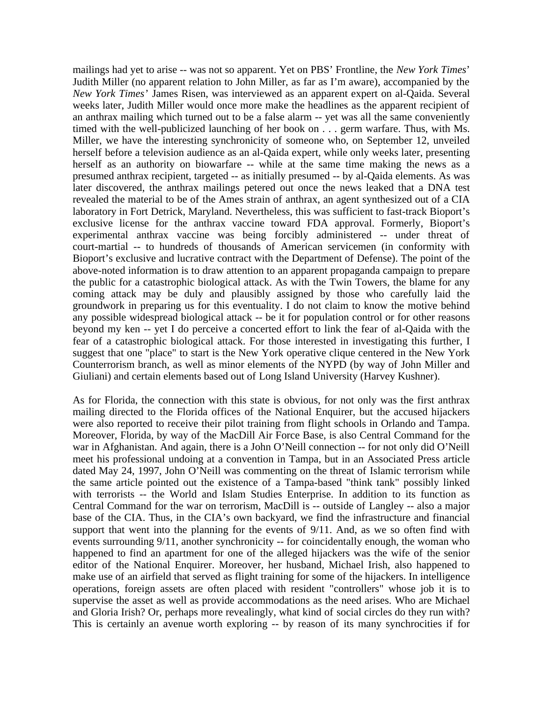mailings had yet to arise -- was not so apparent. Yet on PBS' Frontline, the *New York Times*' Judith Miller (no apparent relation to John Miller, as far as I'm aware), accompanied by the *New York Times*' James Risen, was interviewed as an apparent expert on al-Qaida. Several weeks later, Judith Miller would once more make the headlines as the apparent recipient of an anthrax mailing which turned out to be a false alarm -- yet was all the same conveniently timed with the well-publicized launching of her book on . . . germ warfare. Thus, with Ms. Miller, we have the interesting synchronicity of someone who, on September 12, unveiled herself before a television audience as an al-Qaida expert, while only weeks later, presenting herself as an authority on biowarfare -- while at the same time making the news as a presumed anthrax recipient, targeted -- as initially presumed -- by al-Qaida elements. As was later discovered, the anthrax mailings petered out once the news leaked that a DNA test revealed the material to be of the Ames strain of anthrax, an agent synthesized out of a CIA laboratory in Fort Detrick, Maryland. Nevertheless, this was sufficient to fast-track Bioport's exclusive license for the anthrax vaccine toward FDA approval. Formerly, Bioport's experimental anthrax vaccine was being forcibly administered -- under threat of court-martial -- to hundreds of thousands of American servicemen (in conformity with Bioport's exclusive and lucrative contract with the Department of Defense). The point of the above-noted information is to draw attention to an apparent propaganda campaign to prepare the public for a catastrophic biological attack. As with the Twin Towers, the blame for any coming attack may be duly and plausibly assigned by those who carefully laid the groundwork in preparing us for this eventuality. I do not claim to know the motive behind any possible widespread biological attack -- be it for population control or for other reasons beyond my ken -- yet I do perceive a concerted effort to link the fear of al-Qaida with the fear of a catastrophic biological attack. For those interested in investigating this further, I suggest that one "place" to start is the New York operative clique centered in the New York Counterrorism branch, as well as minor elements of the NYPD (by way of John Miller and Giuliani) and certain elements based out of Long Island University (Harvey Kushner).

As for Florida, the connection with this state is obvious, for not only was the first anthrax mailing directed to the Florida offices of the National Enquirer, but the accused hijackers were also reported to receive their pilot training from flight schools in Orlando and Tampa. Moreover, Florida, by way of the MacDill Air Force Base, is also Central Command for the war in Afghanistan. And again, there is a John O'Neill connection -- for not only did O'Neill meet his professional undoing at a convention in Tampa, but in an Associated Press article dated May 24, 1997, John O'Neill was commenting on the threat of Islamic terrorism while the same article pointed out the existence of a Tampa-based "think tank" possibly linked with terrorists -- the World and Islam Studies Enterprise. In addition to its function as Central Command for the war on terrorism, MacDill is -- outside of Langley -- also a major base of the CIA. Thus, in the CIA's own backyard, we find the infrastructure and financial support that went into the planning for the events of 9/11. And, as we so often find with events surrounding 9/11, another synchronicity -- for coincidentally enough, the woman who happened to find an apartment for one of the alleged hijackers was the wife of the senior editor of the National Enquirer. Moreover, her husband, Michael Irish, also happened to make use of an airfield that served as flight training for some of the hijackers. In intelligence operations, foreign assets are often placed with resident "controllers" whose job it is to supervise the asset as well as provide accommodations as the need arises. Who are Michael and Gloria Irish? Or, perhaps more revealingly, what kind of social circles do they run with? This is certainly an avenue worth exploring -- by reason of its many synchrocities if for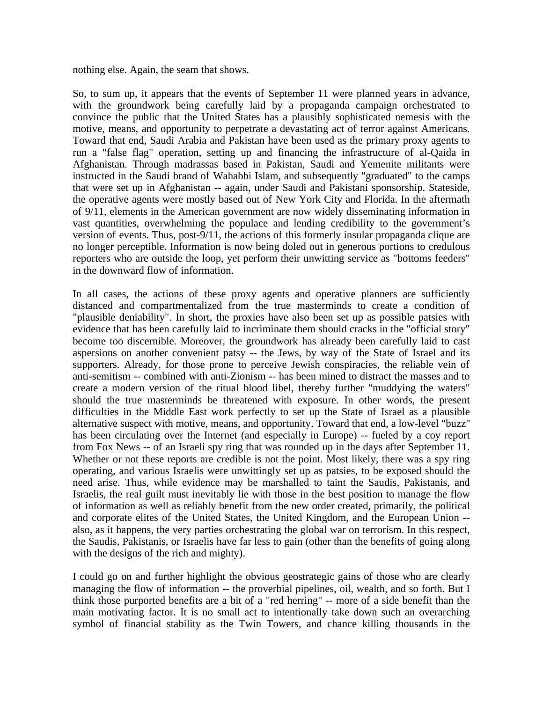nothing else. Again, the seam that shows.

So, to sum up, it appears that the events of September 11 were planned years in advance, with the groundwork being carefully laid by a propaganda campaign orchestrated to convince the public that the United States has a plausibly sophisticated nemesis with the motive, means, and opportunity to perpetrate a devastating act of terror against Americans. Toward that end, Saudi Arabia and Pakistan have been used as the primary proxy agents to run a "false flag" operation, setting up and financing the infrastructure of al-Qaida in Afghanistan. Through madrassas based in Pakistan, Saudi and Yemenite militants were instructed in the Saudi brand of Wahabbi Islam, and subsequently "graduated" to the camps that were set up in Afghanistan -- again, under Saudi and Pakistani sponsorship. Stateside, the operative agents were mostly based out of New York City and Florida. In the aftermath of 9/11, elements in the American government are now widely disseminating information in vast quantities, overwhelming the populace and lending credibility to the government's version of events. Thus, post-9/11, the actions of this formerly insular propaganda clique are no longer perceptible. Information is now being doled out in generous portions to credulous reporters who are outside the loop, yet perform their unwitting service as "bottoms feeders" in the downward flow of information.

In all cases, the actions of these proxy agents and operative planners are sufficiently distanced and compartmentalized from the true masterminds to create a condition of "plausible deniability". In short, the proxies have also been set up as possible patsies with evidence that has been carefully laid to incriminate them should cracks in the "official story" become too discernible. Moreover, the groundwork has already been carefully laid to cast aspersions on another convenient patsy -- the Jews, by way of the State of Israel and its supporters. Already, for those prone to perceive Jewish conspiracies, the reliable vein of anti-semitism -- combined with anti-Zionism -- has been mined to distract the masses and to create a modern version of the ritual blood libel, thereby further "muddying the waters" should the true masterminds be threatened with exposure. In other words, the present difficulties in the Middle East work perfectly to set up the State of Israel as a plausible alternative suspect with motive, means, and opportunity. Toward that end, a low-level "buzz" has been circulating over the Internet (and especially in Europe) -- fueled by a coy report from Fox News -- of an Israeli spy ring that was rounded up in the days after September 11. Whether or not these reports are credible is not the point. Most likely, there was a spy ring operating, and various Israelis were unwittingly set up as patsies, to be exposed should the need arise. Thus, while evidence may be marshalled to taint the Saudis, Pakistanis, and Israelis, the real guilt must inevitably lie with those in the best position to manage the flow of information as well as reliably benefit from the new order created, primarily, the political and corporate elites of the United States, the United Kingdom, and the European Union - also, as it happens, the very parties orchestrating the global war on terrorism. In this respect, the Saudis, Pakistanis, or Israelis have far less to gain (other than the benefits of going along with the designs of the rich and mighty).

I could go on and further highlight the obvious geostrategic gains of those who are clearly managing the flow of information -- the proverbial pipelines, oil, wealth, and so forth. But I think those purported benefits are a bit of a "red herring" -- more of a side benefit than the main motivating factor. It is no small act to intentionally take down such an overarching symbol of financial stability as the Twin Towers, and chance killing thousands in the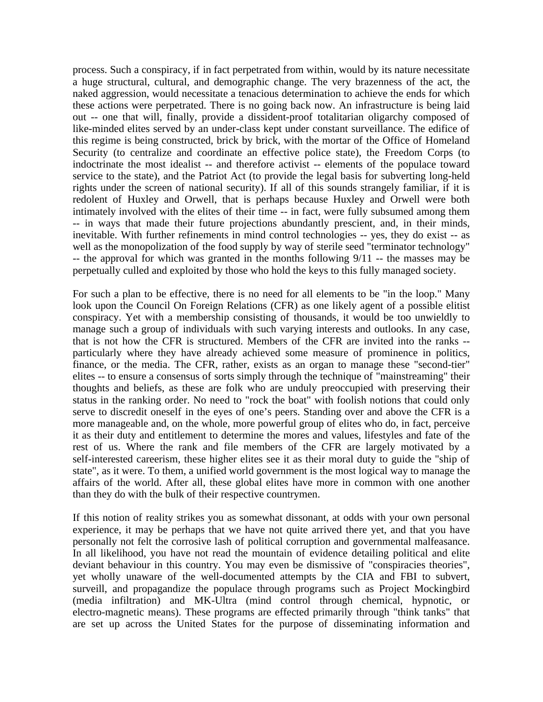process. Such a conspiracy, if in fact perpetrated from within, would by its nature necessitate a huge structural, cultural, and demographic change. The very brazenness of the act, the naked aggression, would necessitate a tenacious determination to achieve the ends for which these actions were perpetrated. There is no going back now. An infrastructure is being laid out -- one that will, finally, provide a dissident-proof totalitarian oligarchy composed of like-minded elites served by an under-class kept under constant surveillance. The edifice of this regime is being constructed, brick by brick, with the mortar of the Office of Homeland Security (to centralize and coordinate an effective police state), the Freedom Corps (to indoctrinate the most idealist -- and therefore activist -- elements of the populace toward service to the state), and the Patriot Act (to provide the legal basis for subverting long-held rights under the screen of national security). If all of this sounds strangely familiar, if it is redolent of Huxley and Orwell, that is perhaps because Huxley and Orwell were both intimately involved with the elites of their time -- in fact, were fully subsumed among them -- in ways that made their future projections abundantly prescient, and, in their minds, inevitable. With further refinements in mind control technologies -- yes, they do exist -- as well as the monopolization of the food supply by way of sterile seed "terminator technology" -- the approval for which was granted in the months following 9/11 -- the masses may be perpetually culled and exploited by those who hold the keys to this fully managed society.

For such a plan to be effective, there is no need for all elements to be "in the loop." Many look upon the Council On Foreign Relations (CFR) as one likely agent of a possible elitist conspiracy. Yet with a membership consisting of thousands, it would be too unwieldly to manage such a group of individuals with such varying interests and outlooks. In any case, that is not how the CFR is structured. Members of the CFR are invited into the ranks - particularly where they have already achieved some measure of prominence in politics, finance, or the media. The CFR, rather, exists as an organ to manage these "second-tier" elites -- to ensure a consensus of sorts simply through the technique of "mainstreaming" their thoughts and beliefs, as these are folk who are unduly preoccupied with preserving their status in the ranking order. No need to "rock the boat" with foolish notions that could only serve to discredit oneself in the eyes of one's peers. Standing over and above the CFR is a more manageable and, on the whole, more powerful group of elites who do, in fact, perceive it as their duty and entitlement to determine the mores and values, lifestyles and fate of the rest of us. Where the rank and file members of the CFR are largely motivated by a self-interested careerism, these higher elites see it as their moral duty to guide the "ship of state", as it were. To them, a unified world government is the most logical way to manage the affairs of the world. After all, these global elites have more in common with one another than they do with the bulk of their respective countrymen.

If this notion of reality strikes you as somewhat dissonant, at odds with your own personal experience, it may be perhaps that we have not quite arrived there yet, and that you have personally not felt the corrosive lash of political corruption and governmental malfeasance. In all likelihood, you have not read the mountain of evidence detailing political and elite deviant behaviour in this country. You may even be dismissive of "conspiracies theories", yet wholly unaware of the well-documented attempts by the CIA and FBI to subvert, surveill, and propagandize the populace through programs such as Project Mockingbird (media infiltration) and MK-Ultra (mind control through chemical, hypnotic, or electro-magnetic means). These programs are effected primarily through "think tanks" that are set up across the United States for the purpose of disseminating information and